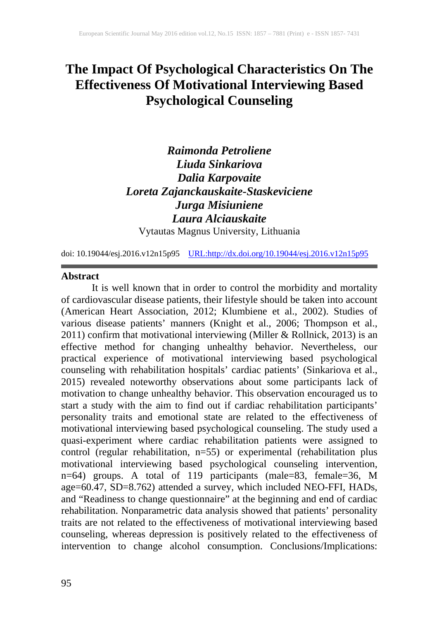# **The Impact Of Psychological Characteristics On The Effectiveness Of Motivational Interviewing Based Psychological Counseling**

# *Raimonda Petroliene Liuda Sinkariova Dalia Karpovaite Loreta Zajanckauskaite-Staskeviciene Jurga Misiuniene Laura Alciauskaite*

Vytautas Magnus University, Lithuania

doi: 10.19044/esj.2016.v12n15p95 [URL:http://dx.doi.org/10.19044/esj.2016.v12n15p95](http://dx.doi.org/10.19044/esj.2016.v12n15p95)

#### **Abstract**

It is well known that in order to control the morbidity and mortality of cardiovascular disease patients, their lifestyle should be taken into account (American Heart Association, 2012; Klumbiene et al., 2002). Studies of various disease patients' manners (Knight et al., 2006; Thompson et al., 2011) confirm that motivational interviewing (Miller & Rollnick, 2013) is an effective method for changing unhealthy behavior. Nevertheless, our practical experience of motivational interviewing based psychological counseling with rehabilitation hospitals' cardiac patients' (Sinkariova et al., 2015) revealed noteworthy observations about some participants lack of motivation to change unhealthy behavior. This observation encouraged us to start a study with the aim to find out if cardiac rehabilitation participants' personality traits and emotional state are related to the effectiveness of motivational interviewing based psychological counseling. The study used a quasi-experiment where cardiac rehabilitation patients were assigned to control (regular rehabilitation, n=55) or experimental (rehabilitation plus motivational interviewing based psychological counseling intervention, n=64) groups. A total of 119 participants (male=83, female=36, M age=60.47, SD=8.762) attended a survey, which included NEO-FFI, HADs, and "Readiness to change questionnaire" at the beginning and end of cardiac rehabilitation. Nonparametric data analysis showed that patients' personality traits are not related to the effectiveness of motivational interviewing based counseling, whereas depression is positively related to the effectiveness of intervention to change alcohol consumption. Conclusions/Implications: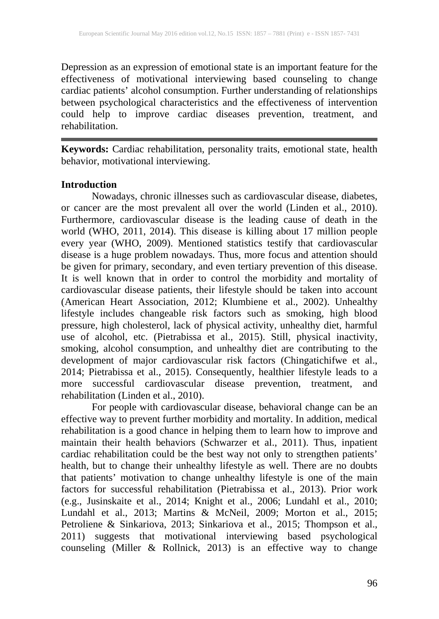Depression as an expression of emotional state is an important feature for the effectiveness of motivational interviewing based counseling to change cardiac patients' alcohol consumption. Further understanding of relationships between psychological characteristics and the effectiveness of intervention could help to improve cardiac diseases prevention, treatment, and rehabilitation.

**Keywords:** Cardiac rehabilitation, personality traits, emotional state, health behavior, motivational interviewing.

### **Introduction**

Nowadays, chronic illnesses such as cardiovascular disease, diabetes, or cancer are the most prevalent all over the world (Linden et al., 2010). Furthermore, cardiovascular disease is the leading cause of death in the world (WHO, 2011, 2014). This disease is killing about 17 million people every year (WHO, 2009). Mentioned statistics testify that cardiovascular disease is a huge problem nowadays. Thus, more focus and attention should be given for primary, secondary, and even tertiary prevention of this disease. It is well known that in order to control the morbidity and mortality of cardiovascular disease patients, their lifestyle should be taken into account (American Heart Association, 2012; Klumbiene et al., 2002). Unhealthy lifestyle includes changeable risk factors such as smoking, high blood pressure, high cholesterol, lack of physical activity, unhealthy diet, harmful use of alcohol, etc. (Pietrabissa et al., 2015). Still, physical inactivity, smoking, alcohol consumption, and unhealthy diet are contributing to the development of major cardiovascular risk factors (Chingatichifwe et al., 2014; Pietrabissa et al., 2015). Consequently, healthier lifestyle leads to a more successful cardiovascular disease prevention, treatment, and rehabilitation (Linden et al., 2010).

For people with cardiovascular disease, behavioral change can be an effective way to prevent further morbidity and mortality. In addition, medical rehabilitation is a good chance in helping them to learn how to improve and maintain their health behaviors (Schwarzer et al., 2011). Thus, inpatient cardiac rehabilitation could be the best way not only to strengthen patients' health, but to change their unhealthy lifestyle as well. There are no doubts that patients' motivation to change unhealthy lifestyle is one of the main factors for successful rehabilitation (Pietrabissa et al., 2013). Prior work (e.g., Jusinskaite et al., 2014; Knight et al., 2006; Lundahl et al., 2010; Lundahl et al., 2013; Martins & McNeil, 2009; Morton et al., 2015; Petroliene & Sinkariova, 2013; Sinkariova et al., 2015; Thompson et al., 2011) suggests that motivational interviewing based psychological counseling (Miller & Rollnick, 2013) is an effective way to change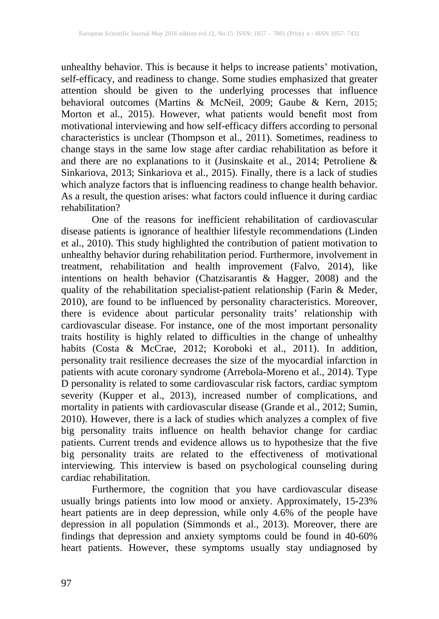unhealthy behavior. This is because it helps to increase patients' motivation, self-efficacy, and readiness to change. Some studies emphasized that greater attention should be given to the underlying processes that influence behavioral outcomes (Martins & McNeil, 2009; Gaube & Kern, 2015; Morton et al., 2015). However, what patients would benefit most from motivational interviewing and how self-efficacy differs according to personal characteristics is unclear (Thompson et al., 2011). Sometimes, readiness to change stays in the same low stage after cardiac rehabilitation as before it and there are no explanations to it (Jusinskaite et al., 2014; Petroliene & Sinkariova, 2013; Sinkariova et al., 2015). Finally, there is a lack of studies which analyze factors that is influencing readiness to change health behavior. As a result, the question arises: what factors could influence it during cardiac rehabilitation?

One of the reasons for inefficient rehabilitation of cardiovascular disease patients is ignorance of healthier lifestyle recommendations (Linden et al., 2010). This study highlighted the contribution of patient motivation to unhealthy behavior during rehabilitation period. Furthermore, involvement in treatment, rehabilitation and health improvement (Falvo, 2014), like intentions on health behavior (Chatzisarantis & Hagger, 2008) and the quality of the rehabilitation specialist-patient relationship (Farin & Meder, 2010), are found to be influenced by personality characteristics. Moreover, there is evidence about particular personality traits' relationship with cardiovascular disease. For instance, one of the most important personality traits hostility is highly related to difficulties in the change of unhealthy habits (Costa & McCrae, 2012; Koroboki et al., 2011). In addition, personality trait resilience decreases the size of the myocardial infarction in patients with acute coronary syndrome (Arrebola-Moreno et al., 2014). Type D personality is related to some cardiovascular risk factors, cardiac symptom severity (Kupper et al., 2013), increased number of complications, and mortality in patients with cardiovascular disease (Grande et al., 2012; Sumin, 2010). However, there is a lack of studies which analyzes a complex of five big personality traits influence on health behavior change for cardiac patients. Current trends and evidence allows us to hypothesize that the five big personality traits are related to the effectiveness of motivational interviewing. This interview is based on psychological counseling during cardiac rehabilitation.

Furthermore, the cognition that you have cardiovascular disease usually brings patients into low mood or anxiety. Approximately, 15-23% heart patients are in deep depression, while only 4.6% of the people have depression in all population (Simmonds et al., 2013). Moreover, there are findings that depression and anxiety symptoms could be found in 40-60% heart patients. However, these symptoms usually stay undiagnosed by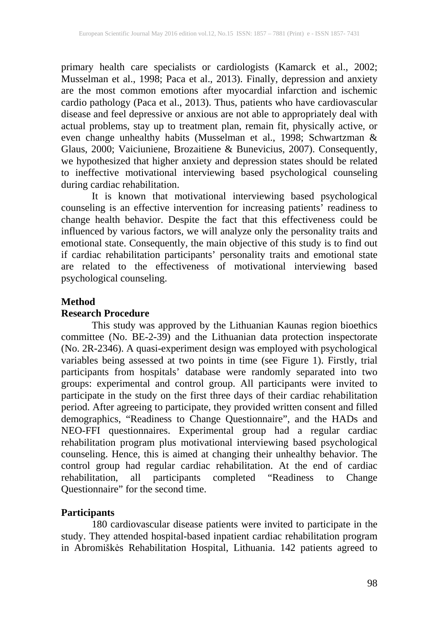primary health care specialists or cardiologists (Kamarck et al., 2002; Musselman et al., 1998; Paca et al., 2013). Finally, depression and anxiety are the most common emotions after myocardial infarction and ischemic cardio pathology (Paca et al., 2013). Thus, patients who have cardiovascular disease and feel depressive or anxious are not able to appropriately deal with actual problems, stay up to treatment plan, remain fit, physically active, or even change unhealthy habits (Musselman et al., 1998; Schwartzman & Glaus, 2000; Vaiciuniene, Brozaitiene & Bunevicius, 2007). Consequently, we hypothesized that higher anxiety and depression states should be related to ineffective motivational interviewing based psychological counseling during cardiac rehabilitation.

It is known that motivational interviewing based psychological counseling is an effective intervention for increasing patients' readiness to change health behavior. Despite the fact that this effectiveness could be influenced by various factors, we will analyze only the personality traits and emotional state. Consequently, the main objective of this study is to find out if cardiac rehabilitation participants' personality traits and emotional state are related to the effectiveness of motivational interviewing based psychological counseling.

### **Method**

### **Research Procedure**

This study was approved by the Lithuanian Kaunas region bioethics committee (No. BE-2-39) and the Lithuanian data protection inspectorate (No. 2R-2346). A quasi-experiment design was employed with psychological variables being assessed at two points in time (see Figure 1). Firstly, trial participants from hospitals' database were randomly separated into two groups: experimental and control group. All participants were invited to participate in the study on the first three days of their cardiac rehabilitation period. After agreeing to participate, they provided written consent and filled demographics, "Readiness to Change Questionnaire", and the HADs and NEO-FFI questionnaires. Experimental group had a regular cardiac rehabilitation program plus motivational interviewing based psychological counseling. Hence, this is aimed at changing their unhealthy behavior. The control group had regular cardiac rehabilitation. At the end of cardiac rehabilitation, all participants completed "Readiness to Change Questionnaire" for the second time.

## **Participants**

180 cardiovascular disease patients were invited to participate in the study. They attended hospital-based inpatient cardiac rehabilitation program in Abromiškės Rehabilitation Hospital, Lithuania. 142 patients agreed to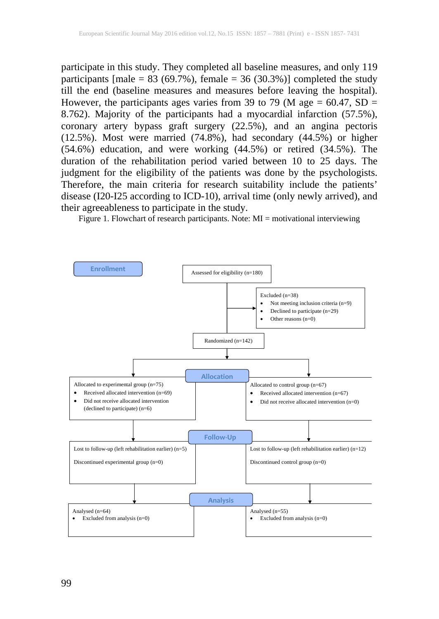participate in this study. They completed all baseline measures, and only 119 participants [male =  $83$  (69.7%), female =  $36$  (30.3%)] completed the study till the end (baseline measures and measures before leaving the hospital). However, the participants ages varies from 39 to 79 (M age =  $60.47$ , SD = 8.762). Majority of the participants had a myocardial infarction (57.5%), coronary artery bypass graft surgery (22.5%), and an angina pectoris (12.5%). Most were married (74.8%), had secondary (44.5%) or higher (54.6%) education, and were working (44.5%) or retired (34.5%). The duration of the rehabilitation period varied between 10 to 25 days. The judgment for the eligibility of the patients was done by the psychologists. Therefore, the main criteria for research suitability include the patients' disease (I20-I25 according to ICD-10), arrival time (only newly arrived), and their agreeableness to participate in the study.

Figure 1. Flowchart of research participants. Note: MI = motivational interviewing

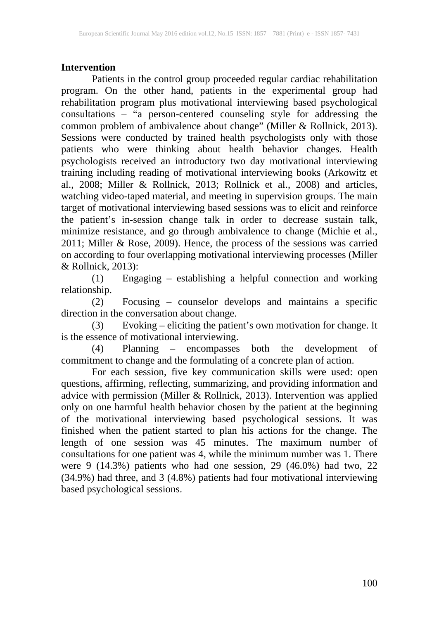# **Intervention**

Patients in the control group proceeded regular cardiac rehabilitation program. On the other hand, patients in the experimental group had rehabilitation program plus motivational interviewing based psychological consultations – "a person-centered counseling style for addressing the common problem of ambivalence about change" (Miller & Rollnick, 2013). Sessions were conducted by trained health psychologists only with those patients who were thinking about health behavior changes. Health psychologists received an introductory two day motivational interviewing training including reading of motivational interviewing books (Arkowitz et al., 2008; Miller & Rollnick, 2013; Rollnick et al., 2008) and articles, watching video-taped material, and meeting in supervision groups. The main target of motivational interviewing based sessions was to elicit and reinforce the patient's in-session change talk in order to decrease sustain talk, minimize resistance, and go through ambivalence to change (Michie et al., 2011; Miller & Rose, 2009). Hence, the process of the sessions was carried on according to four overlapping motivational interviewing processes (Miller & Rollnick, 2013):

(1) Engaging – establishing a helpful connection and working relationship.

(2) Focusing – counselor develops and maintains a specific direction in the conversation about change.

(3) Evoking – eliciting the patient's own motivation for change. It is the essence of motivational interviewing.

(4) Planning – encompasses both the development of commitment to change and the formulating of a concrete plan of action.

For each session, five key communication skills were used: open questions, affirming, reflecting, summarizing, and providing information and advice with permission (Miller & Rollnick, 2013). Intervention was applied only on one harmful health behavior chosen by the patient at the beginning of the motivational interviewing based psychological sessions. It was finished when the patient started to plan his actions for the change. The length of one session was 45 minutes. The maximum number of consultations for one patient was 4, while the minimum number was 1. There were 9 (14.3%) patients who had one session, 29 (46.0%) had two, 22 (34.9%) had three, and 3 (4.8%) patients had four motivational interviewing based psychological sessions.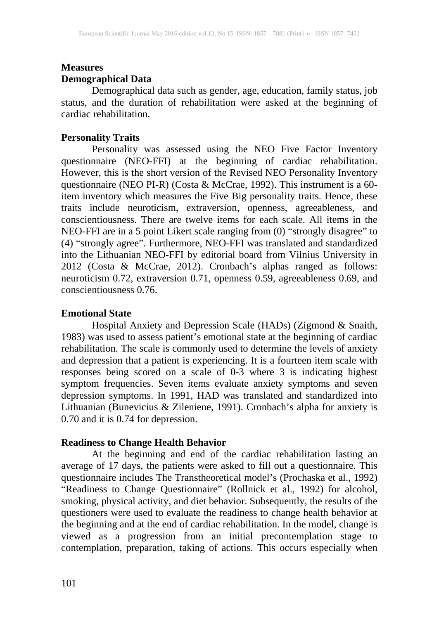## **Measures Demographical Data**

Demographical data such as gender, age, education, family status, job status, and the duration of rehabilitation were asked at the beginning of cardiac rehabilitation.

## **Personality Traits**

Personality was assessed using the NEO Five Factor Inventory questionnaire (NEO-FFI) at the beginning of cardiac rehabilitation. However, this is the short version of the Revised NEO Personality Inventory questionnaire (NEO PI-R) (Costa & McCrae, 1992). This instrument is a 60 item inventory which measures the Five Big personality traits. Hence, these traits include neuroticism, extraversion, openness, agreeableness, and conscientiousness. There are twelve items for each scale. All items in the NEO-FFI are in a 5 point Likert scale ranging from (0) "strongly disagree" to (4) "strongly agree". Furthermore, NEO-FFI was translated and standardized into the Lithuanian NEO-FFI by editorial board from Vilnius University in 2012 (Costa & McCrae, 2012). Cronbach's alphas ranged as follows: neuroticism 0.72, extraversion 0.71, openness 0.59, agreeableness 0.69, and conscientiousness 0.76.

## **Emotional State**

Hospital Anxiety and Depression Scale (HADs) (Zigmond & Snaith, 1983) was used to assess patient's emotional state at the beginning of cardiac rehabilitation. The scale is commonly used to determine the levels of anxiety and depression that a patient is experiencing. It is a fourteen item scale with responses being scored on a scale of 0-3 where 3 is indicating highest symptom frequencies. Seven items evaluate anxiety symptoms and seven depression symptoms. In 1991, HAD was translated and standardized into Lithuanian (Bunevicius & Zileniene, 1991). Cronbach's alpha for anxiety is 0.70 and it is 0.74 for depression.

### **Readiness to Change Health Behavior**

At the beginning and end of the cardiac rehabilitation lasting an average of 17 days, the patients were asked to fill out a questionnaire. This questionnaire includes The Transtheoretical model's (Prochaska et al., 1992) "Readiness to Change Questionnaire" (Rollnick et al., 1992) for alcohol, smoking, physical activity, and diet behavior. Subsequently, the results of the questioners were used to evaluate the readiness to change health behavior at the beginning and at the end of cardiac rehabilitation. In the model, change is viewed as a progression from an initial precontemplation stage to contemplation, preparation, taking of actions. This occurs especially when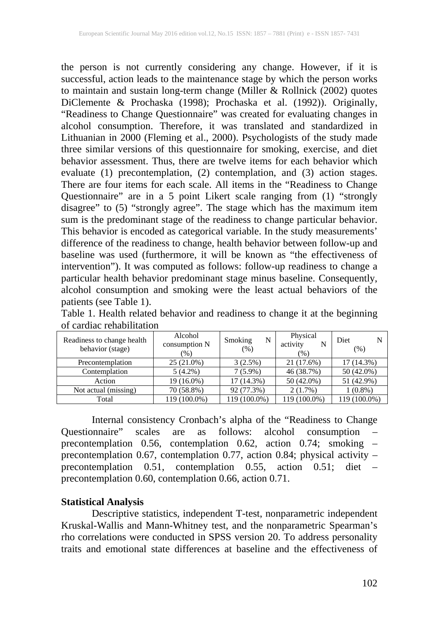the person is not currently considering any change. However, if it is successful, action leads to the maintenance stage by which the person works to maintain and sustain long-term change (Miller & Rollnick (2002) quotes DiClemente & Prochaska (1998); Prochaska et al. (1992)). Originally, "Readiness to Change Questionnaire" was created for evaluating changes in alcohol consumption. Therefore, it was translated and standardized in Lithuanian in 2000 (Fleming et al., 2000). Psychologists of the study made three similar versions of this questionnaire for smoking, exercise, and diet behavior assessment. Thus, there are twelve items for each behavior which evaluate (1) precontemplation, (2) contemplation, and (3) action stages. There are four items for each scale. All items in the "Readiness to Change Questionnaire" are in a 5 point Likert scale ranging from (1) "strongly disagree" to (5) "strongly agree". The stage which has the maximum item sum is the predominant stage of the readiness to change particular behavior. This behavior is encoded as categorical variable. In the study measurements' difference of the readiness to change, health behavior between follow-up and baseline was used (furthermore, it will be known as "the effectiveness of intervention"). It was computed as follows: follow-up readiness to change a particular health behavior predominant stage minus baseline. Consequently, alcohol consumption and smoking were the least actual behaviors of the patients (see Table 1).

Readiness to change health behavior (stage) Alcohol consumption N  $\frac{(\%)}{25(21.0\%)}$ Smoking N (%) Physical activity N  $\frac{(%)}{21(17.6%)}$ Diet N (%) Precontemplation 25 (21.0%) 3 (2.5%) 21 (17.6%) 17 (14.3%)<br>Contemplation 5 (4.2%) 7 (5.9%) 46 (38.7%) 50 (42.0%) Contemplation  $5 (4.2\%)$   $7 (5.9\%)$   $46 (38.7\%)$ Action 19 (16.0%) 17 (14.3%) 50 (42.0%) 51 (42.9%) Not actual (missing)  $\begin{array}{|c|c|c|c|c|c|c|c|} \hline \end{array}$  70 (58.8%) 92 (77.3%) 2 (1.7%) 1 (0.8%) Total 119 (100.0%) 119 (100.0%) 119 (100.0%) 119 (100.0%)

Table 1. Health related behavior and readiness to change it at the beginning of cardiac rehabilitation

Internal consistency Cronbach's alpha of the "Readiness to Change<br>ponnaire" scales are as follows: alcohol consumption -Questionnaire" scales are as follows: alcohol precontemplation 0.56, contemplation 0.62, action 0.74; smoking – precontemplation 0.67, contemplation 0.77, action 0.84; physical activity – precontemplation 0.51, contemplation 0.55, action 0.51; diet – contemplation  $0.55$ , action  $0.51$ ; diet – precontemplation 0.60, contemplation 0.66, action 0.71.

## **Statistical Analysis**

Descriptive statistics, independent T-test, nonparametric independent Kruskal-Wallis and Mann-Whitney test, and the nonparametric Spearman's rho correlations were conducted in SPSS version 20. To address personality traits and emotional state differences at baseline and the effectiveness of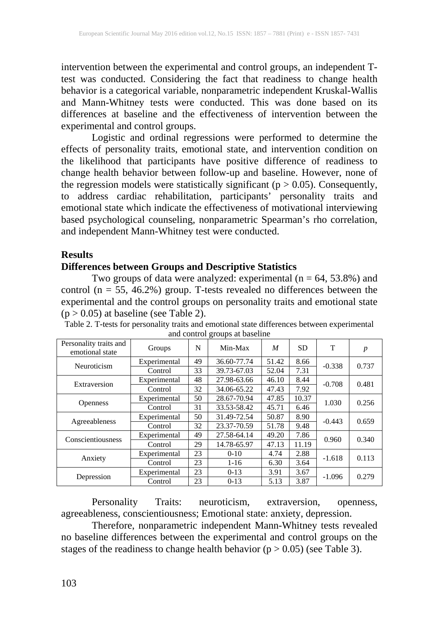intervention between the experimental and control groups, an independent Ttest was conducted. Considering the fact that readiness to change health behavior is a categorical variable, nonparametric independent Kruskal-Wallis and Mann-Whitney tests were conducted. This was done based on its differences at baseline and the effectiveness of intervention between the experimental and control groups.

Logistic and ordinal regressions were performed to determine the effects of personality traits, emotional state, and intervention condition on the likelihood that participants have positive difference of readiness to change health behavior between follow-up and baseline. However, none of the regression models were statistically significant ( $p > 0.05$ ). Consequently, to address cardiac rehabilitation, participants' personality traits and emotional state which indicate the effectiveness of motivational interviewing based psychological counseling, nonparametric Spearman's rho correlation, and independent Mann-Whitney test were conducted.

#### **Results**

## **Differences between Groups and Descriptive Statistics**

Two groups of data were analyzed: experimental  $(n = 64, 53.8%)$  and control (n = 55, 46.2%) group. T-tests revealed no differences between the experimental and the control groups on personality traits and emotional state

| Personality traits and<br>emotional state | Groups       | N  | Min-Max     | M     | <b>SD</b> | T        | $\boldsymbol{p}$ |
|-------------------------------------------|--------------|----|-------------|-------|-----------|----------|------------------|
| Neuroticism                               | Experimental | 49 | 36.60-77.74 | 51.42 | 8.66      | $-0.338$ | 0.737            |
|                                           | Control      | 33 | 39.73-67.03 | 52.04 | 7.31      |          |                  |
| Extraversion                              | Experimental | 48 | 27.98-63.66 | 46.10 | 8.44      | $-0.708$ | 0.481            |
|                                           | Control      | 32 | 34.06-65.22 | 47.43 | 7.92      |          |                  |
| <b>Openness</b>                           | Experimental | 50 | 28.67-70.94 | 47.85 | 10.37     | 1.030    | 0.256            |
|                                           | Control      | 31 | 33.53-58.42 | 45.71 | 6.46      |          |                  |
| Agreeableness                             | Experimental | 50 | 31.49-72.54 | 50.87 | 8.90      | $-0.443$ | 0.659            |
|                                           | Control      | 32 | 23.37-70.59 | 51.78 | 9.48      |          |                  |
| Conscientiousness                         | Experimental | 49 | 27.58-64.14 | 49.20 | 7.86      | 0.960    | 0.340            |
|                                           | Control      | 29 | 14.78-65.97 | 47.13 | 11.19     |          |                  |
| Anxiety                                   | Experimental | 23 | $0-10$      | 4.74  | 2.88      | $-1.618$ | 0.113            |
|                                           | Control      | 23 | $1 - 16$    | 6.30  | 3.64      |          |                  |
| Depression                                | Experimental | 23 | $0-13$      | 3.91  | 3.67      | $-1.096$ | 0.279            |
|                                           | Control      | 23 | $0-13$      | 5.13  | 3.87      |          |                  |

| $(p > 0.05)$ at baseline (see Table 2).                                                      |
|----------------------------------------------------------------------------------------------|
| Table 2. T-tests for personality traits and emotional state differences between experimental |
| and control groups at baseline                                                               |

Personality Traits: neuroticism, extraversion, openness, agreeableness, conscientiousness; Emotional state: anxiety, depression.

Therefore, nonparametric independent Mann-Whitney tests revealed no baseline differences between the experimental and control groups on the stages of the readiness to change health behavior ( $p > 0.05$ ) (see Table 3).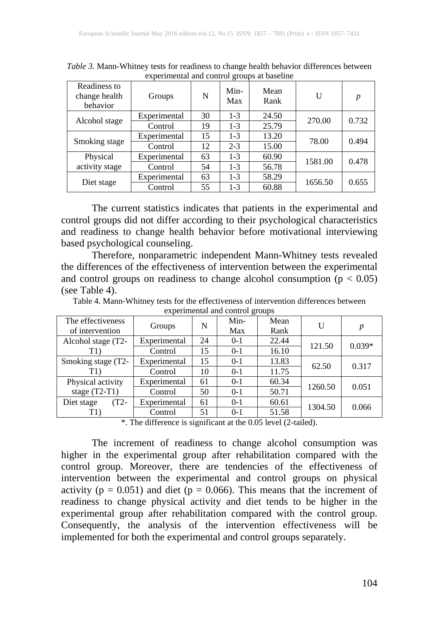| $\ldots$ $\ldots$ $\ldots$ $\ldots$ $\ldots$ $\ldots$ $\ldots$ $\ldots$ $\ldots$ |              |    |             |              |         |                  |  |  |
|----------------------------------------------------------------------------------|--------------|----|-------------|--------------|---------|------------------|--|--|
| Readiness to<br>change health<br>behavior                                        | Groups       | N  | Min-<br>Max | Mean<br>Rank | U       | $\boldsymbol{p}$ |  |  |
| Alcohol stage                                                                    | Experimental | 30 | $1 - 3$     | 24.50        | 270.00  | 0.732            |  |  |
|                                                                                  | Control      | 19 | $1 - 3$     | 25.79        |         |                  |  |  |
| Smoking stage                                                                    | Experimental | 15 | $1 - 3$     | 13.20        | 78.00   | 0.494            |  |  |
|                                                                                  | Control      | 12 | $2 - 3$     | 15.00        |         |                  |  |  |
| Physical                                                                         | Experimental | 63 | $1 - 3$     | 60.90        |         | 0.478            |  |  |
| activity stage                                                                   | Control      | 54 | $1 - 3$     | 56.78        | 1581.00 |                  |  |  |
| Diet stage                                                                       | Experimental | 63 | $1 - 3$     | 58.29        | 1656.50 | 0.655            |  |  |
|                                                                                  | Control      | 55 | $1 - 3$     | 60.88        |         |                  |  |  |

*Table 3.* Mann-Whitney tests for readiness to change health behavior differences between experimental and control groups at baseline

The current statistics indicates that patients in the experimental and control groups did not differ according to their psychological characteristics and readiness to change health behavior before motivational interviewing based psychological counseling.

Therefore, nonparametric independent Mann-Whitney tests revealed the differences of the effectiveness of intervention between the experimental and control groups on readiness to change alcohol consumption  $(p < 0.05)$ (see Table 4).

|                                      |              |    | $\alpha$ experimental and control groups |              |         |          |
|--------------------------------------|--------------|----|------------------------------------------|--------------|---------|----------|
| The effectiveness<br>of intervention | Groups       | N  | Min-<br>Max                              | Mean<br>Rank | U       | p        |
| Alcohol stage (T2-                   | Experimental | 24 | $0-1$                                    | 22.44        | 121.50  | $0.039*$ |
| T1)                                  | Control      | 15 | $0-1$                                    | 16.10        |         |          |
| Smoking stage (T2-                   | Experimental | 15 | $0-1$                                    | 13.83        | 62.50   | 0.317    |
| T1)                                  | Control      | 10 | $0-1$                                    | 11.75        |         |          |
| Physical activity                    | Experimental | 61 | $0-1$                                    | 60.34        | 1260.50 | 0.051    |
| stage $(T2-T1)$                      | Control      | 50 | $0-1$                                    | 50.71        |         |          |
| $(T2 -$<br>Diet stage                | Experimental | 61 | $0-1$                                    | 60.61        | 1304.50 | 0.066    |
| T1)                                  | Control      | 51 | $0-1$                                    | 51.58        |         |          |

Table 4. Mann-Whitney tests for the effectiveness of intervention differences between experimental and control groups

\*. The difference is significant at the 0.05 level (2-tailed).

The increment of readiness to change alcohol consumption was higher in the experimental group after rehabilitation compared with the control group. Moreover, there are tendencies of the effectiveness of intervention between the experimental and control groups on physical activity ( $p = 0.051$ ) and diet ( $p = 0.066$ ). This means that the increment of readiness to change physical activity and diet tends to be higher in the experimental group after rehabilitation compared with the control group. Consequently, the analysis of the intervention effectiveness will be implemented for both the experimental and control groups separately.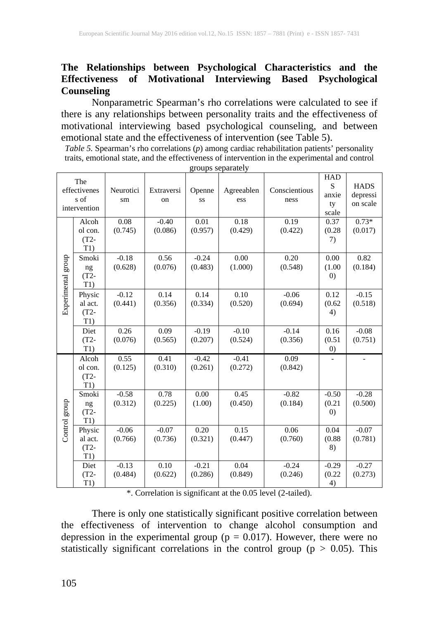## **The Relationships between Psychological Characteristics and the Effectiveness of Motivational Interviewing Based Psychological Counseling**

Nonparametric Spearman's rho correlations were calculated to see if there is any relationships between personality traits and the effectiveness of motivational interviewing based psychological counseling, and between emotional state and the effectiveness of intervention (see Table 5).

*Table 5.* Spearman's rho correlations (*p*) among cardiac rehabilitation patients' personality traits, emotional state, and the effectiveness of intervention in the experimental and control groups separately

|                    | The<br>effectivenes<br>s of<br>intervention | Neurotici<br>sm    | Extraversi<br>on   | Openne<br>SS       | Agreeablen<br>ess  | Conscientious<br>ness | <b>HAD</b><br>S<br>anxie<br>ty<br>scale | <b>HADS</b><br>depressi<br>on scale |
|--------------------|---------------------------------------------|--------------------|--------------------|--------------------|--------------------|-----------------------|-----------------------------------------|-------------------------------------|
|                    | Alcoh<br>ol con.<br>$(T2 -$<br>T1)          | 0.08<br>(0.745)    | $-0.40$<br>(0.086) | 0.01<br>(0.957)    | 0.18<br>(0.429)    | 0.19<br>(0.422)       | 0.37<br>(0.28)<br>7)                    | $0.73*$<br>(0.017)                  |
| Experimental group | Smoki<br>ng<br>$(T2 -$<br>T1)               | $-0.18$<br>(0.628) | 0.56<br>(0.076)    | $-0.24$<br>(0.483) | 0.00<br>(1.000)    | 0.20<br>(0.548)       | 0.00<br>(1.00)<br>$\left( 0\right)$     | 0.82<br>(0.184)                     |
|                    | Physic<br>al act.<br>$(T2 -$<br>T1)         | $-0.12$<br>(0.441) | 0.14<br>(0.356)    | 0.14<br>(0.334)    | 0.10<br>(0.520)    | $-0.06$<br>(0.694)    | 0.12<br>(0.62)<br>4)                    | $-0.15$<br>(0.518)                  |
|                    | Diet<br>$(T2 -$<br>T1)                      | 0.26<br>(0.076)    | 0.09<br>(0.565)    | $-0.19$<br>(0.207) | $-0.10$<br>(0.524) | $-0.14$<br>(0.356)    | 0.16<br>(0.51)<br>$\left( 0\right)$     | $-0.08$<br>(0.751)                  |
|                    | Alcoh<br>ol con.<br>$(T2 -$<br>T1)          | 0.55<br>(0.125)    | 0.41<br>(0.310)    | $-0.42$<br>(0.261) | $-0.41$<br>(0.272) | 0.09<br>(0.842)       |                                         |                                     |
| Control group      | Smoki<br>ng<br>$(T2 -$<br>T1)               | $-0.58$<br>(0.312) | 0.78<br>(0.225)    | 0.00<br>(1.00)     | 0.45<br>(0.450)    | $-0.82$<br>(0.184)    | $-0.50$<br>(0.21)<br>$\left( 0\right)$  | $-0.28$<br>(0.500)                  |
|                    | Physic<br>al act.<br>$(T2 -$<br>T1)         | $-0.06$<br>(0.766) | $-0.07$<br>(0.736) | 0.20<br>(0.321)    | 0.15<br>(0.447)    | 0.06<br>(0.760)       | 0.04<br>(0.88)<br>8)                    | $-0.07$<br>(0.781)                  |
|                    | Diet<br>$(T2 -$<br>T1)                      | $-0.13$<br>(0.484) | 0.10<br>(0.622)    | $-0.21$<br>(0.286) | 0.04<br>(0.849)    | $-0.24$<br>(0.246)    | $-0.29$<br>(0.22)<br>4)                 | $-0.27$<br>(0.273)                  |

\*. Correlation is significant at the 0.05 level (2-tailed).

There is only one statistically significant positive correlation between the effectiveness of intervention to change alcohol consumption and depression in the experimental group ( $p = 0.017$ ). However, there were no statistically significant correlations in the control group ( $p > 0.05$ ). This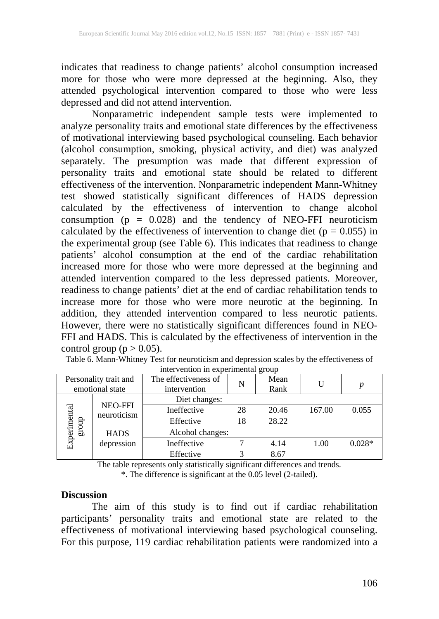indicates that readiness to change patients' alcohol consumption increased more for those who were more depressed at the beginning. Also, they attended psychological intervention compared to those who were less depressed and did not attend intervention.

Nonparametric independent sample tests were implemented to analyze personality traits and emotional state differences by the effectiveness of motivational interviewing based psychological counseling. Each behavior (alcohol consumption, smoking, physical activity, and diet) was analyzed separately. The presumption was made that different expression of personality traits and emotional state should be related to different effectiveness of the intervention. Nonparametric independent Mann-Whitney test showed statistically significant differences of HADS depression calculated by the effectiveness of intervention to change alcohol consumption ( $p = 0.028$ ) and the tendency of NEO-FFI neuroticism calculated by the effectiveness of intervention to change diet ( $p = 0.055$ ) in the experimental group (see Table 6). This indicates that readiness to change patients' alcohol consumption at the end of the cardiac rehabilitation increased more for those who were more depressed at the beginning and attended intervention compared to the less depressed patients. Moreover, readiness to change patients' diet at the end of cardiac rehabilitation tends to increase more for those who were more neurotic at the beginning. In addition, they attended intervention compared to less neurotic patients. However, there were no statistically significant differences found in NEO-FFI and HADS. This is calculated by the effectiveness of intervention in the control group ( $p > 0.05$ ).

| Personality trait and<br>emotional state |                        | The effectiveness of<br>intervention | N  | Mean<br>Rank |        | $\boldsymbol{p}$ |
|------------------------------------------|------------------------|--------------------------------------|----|--------------|--------|------------------|
| Experimental<br>dno.fa                   |                        | Diet changes:                        |    |              |        |                  |
|                                          | NEO-FFI<br>neuroticism | Ineffective                          | 28 | 20.46        | 167.00 | 0.055            |
|                                          |                        | Effective                            | 18 | 28.22        |        |                  |
|                                          | <b>HADS</b>            | Alcohol changes:                     |    |              |        |                  |
|                                          | depression             | Ineffective                          |    | 4.14         | 1.00   | $0.028*$         |
|                                          |                        | Effective                            |    | 8.67         |        |                  |

Table 6. Mann-Whitney Test for neuroticism and depression scales by the effectiveness of intervention in experimental group

> The table represents only statistically significant differences and trends. \*. The difference is significant at the 0.05 level (2-tailed).

#### **Discussion**

The aim of this study is to find out if cardiac rehabilitation participants' personality traits and emotional state are related to the effectiveness of motivational interviewing based psychological counseling. For this purpose, 119 cardiac rehabilitation patients were randomized into a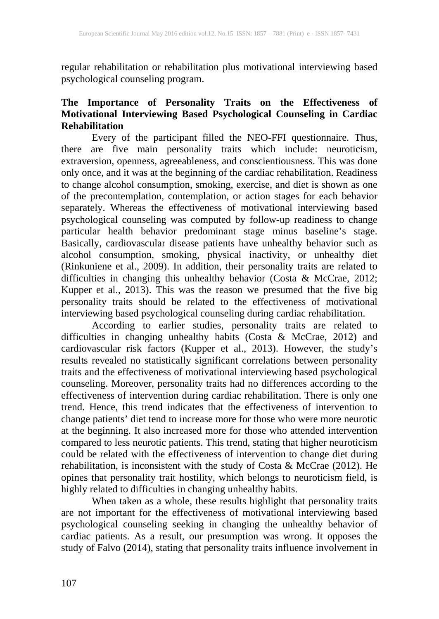regular rehabilitation or rehabilitation plus motivational interviewing based psychological counseling program.

## **The Importance of Personality Traits on the Effectiveness of Motivational Interviewing Based Psychological Counseling in Cardiac Rehabilitation**

Every of the participant filled the NEO-FFI questionnaire. Thus, there are five main personality traits which include: neuroticism, extraversion, openness, agreeableness, and conscientiousness. This was done only once, and it was at the beginning of the cardiac rehabilitation. Readiness to change alcohol consumption, smoking, exercise, and diet is shown as one of the precontemplation, contemplation, or action stages for each behavior separately. Whereas the effectiveness of motivational interviewing based psychological counseling was computed by follow-up readiness to change particular health behavior predominant stage minus baseline's stage. Basically, cardiovascular disease patients have unhealthy behavior such as alcohol consumption, smoking, physical inactivity, or unhealthy diet (Rinkuniene et al., 2009). In addition, their personality traits are related to difficulties in changing this unhealthy behavior (Costa & McCrae, 2012; Kupper et al., 2013). This was the reason we presumed that the five big personality traits should be related to the effectiveness of motivational interviewing based psychological counseling during cardiac rehabilitation.

According to earlier studies, personality traits are related to difficulties in changing unhealthy habits (Costa & McCrae, 2012) and cardiovascular risk factors (Kupper et al., 2013). However, the study's results revealed no statistically significant correlations between personality traits and the effectiveness of motivational interviewing based psychological counseling. Moreover, personality traits had no differences according to the counseling. Moreover, personality traits had no differences according to the effectiveness of intervention during cardiac rehabilitation. There is only one trend. Hence, this trend indicates that the effectiveness of intervention to change patients' diet tend to increase more for those who were more neurotic at the beginning. It also increased more for those who attended intervention compared to less neurotic patients. This trend, stating that higher neuroticism could be related with the effectiveness of intervention to change diet during rehabilitation, is inconsistent with the study of Costa & McCrae (2012). He opines that personality trait hostility, which belongs to neuroticism field, is highly related to difficulties in changing unhealthy habits.

When taken as a whole, these results highlight that personality traits are not important for the effectiveness of motivational interviewing based psychological counseling seeking in changing the unhealthy behavior of cardiac patients. As a result, our presumption was wrong. It opposes the study of Falvo (2014), stating that personality traits influence involvement in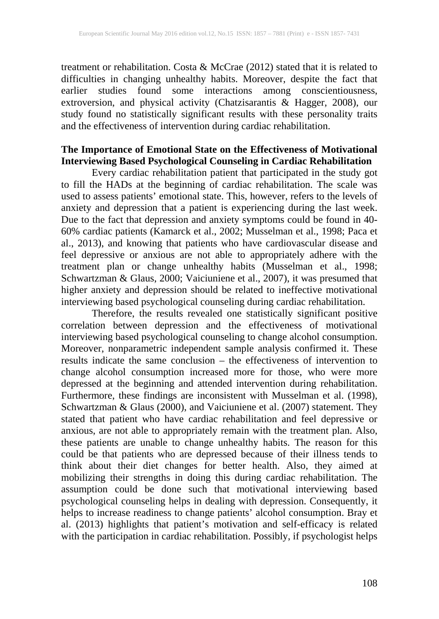treatment or rehabilitation. Costa & McCrae (2012) stated that it is related to difficulties in changing unhealthy habits. Moreover, despite the fact that earlier studies found some interactions among conscientiousness, extroversion, and physical activity (Chatzisarantis & Hagger, 2008), our study found no statistically significant results with these personality traits and the effectiveness of intervention during cardiac rehabilitation.

## **The Importance of Emotional State on the Effectiveness of Motivational Interviewing Based Psychological Counseling in Cardiac Rehabilitation**

Every cardiac rehabilitation patient that participated in the study got to fill the HADs at the beginning of cardiac rehabilitation. The scale was used to assess patients' emotional state. This, however, refers to the levels of anxiety and depression that a patient is experiencing during the last week. Due to the fact that depression and anxiety symptoms could be found in 40- 60% cardiac patients (Kamarck et al., 2002; Musselman et al., 1998; Paca et al., 2013), and knowing that patients who have cardiovascular disease and feel depressive or anxious are not able to appropriately adhere with the treatment plan or change unhealthy habits (Musselman et al., 1998; Schwartzman & Glaus, 2000; Vaiciuniene et al., 2007), it was presumed that higher anxiety and depression should be related to ineffective motivational interviewing based psychological counseling during cardiac rehabilitation.

Therefore, the results revealed one statistically significant positive correlation between depression and the effectiveness of motivational interviewing based psychological counseling to change alcohol consumption. Moreover, nonparametric independent sample analysis confirmed it. These results indicate the same conclusion – the effectiveness of intervention to change alcohol consumption increased more for those, who were more depressed at the beginning and attended intervention during rehabilitation. Furthermore, these findings are inconsistent with Musselman et al. (1998), Schwartzman & Glaus (2000), and Vaiciuniene et al. (2007) statement. They stated that patient who have cardiac rehabilitation and feel depressive or anxious, are not able to appropriately remain with the treatment plan. Also, these patients are unable to change unhealthy habits. The reason for this could be that patients who are depressed because of their illness tends to think about their diet changes for better health. Also, they aimed at mobilizing their strengths in doing this during cardiac rehabilitation. The assumption could be done such that motivational interviewing based psychological counseling helps in dealing with depression. Consequently, it helps to increase readiness to change patients' alcohol consumption. Bray et al. (2013) highlights that patient's motivation and self-efficacy is related with the participation in cardiac rehabilitation. Possibly, if psychologist helps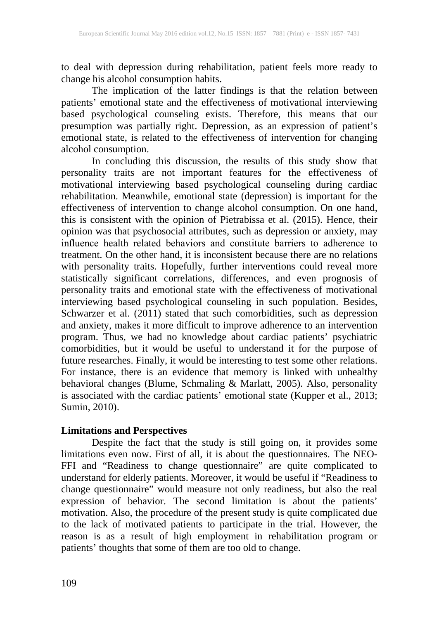to deal with depression during rehabilitation, patient feels more ready to change his alcohol consumption habits.

The implication of the latter findings is that the relation between patients' emotional state and the effectiveness of motivational interviewing based psychological counseling exists. Therefore, this means that our presumption was partially right. Depression, as an expression of patient's emotional state, is related to the effectiveness of intervention for changing alcohol consumption.

In concluding this discussion, the results of this study show that personality traits are not important features for the effectiveness of motivational interviewing based psychological counseling during cardiac rehabilitation. Meanwhile, emotional state (depression) is important for the effectiveness of intervention to change alcohol consumption. On one hand, this is consistent with the opinion of Pietrabissa et al. (2015). Hence, their opinion was that psychosocial attributes, such as depression or anxiety, may influence health related behaviors and constitute barriers to adherence to treatment. On the other hand, it is inconsistent because there are no relations with personality traits. Hopefully, further interventions could reveal more statistically significant correlations, differences, and even prognosis of personality traits and emotional state with the effectiveness of motivational interviewing based psychological counseling in such population. Besides, Schwarzer et al. (2011) stated that such comorbidities, such as depression and anxiety, makes it more difficult to improve adherence to an intervention program. Thus, we had no knowledge about cardiac patients' psychiatric comorbidities, but it would be useful to understand it for the purpose of future researches. Finally, it would be interesting to test some other relations. For instance, there is an evidence that memory is linked with unhealthy behavioral changes (Blume, Schmaling & Marlatt, 2005). Also, personality is associated with the cardiac patients' emotional state (Kupper et al., 2013; Sumin, 2010).

# **Limitations and Perspectives**

Despite the fact that the study is still going on, it provides some limitations even now. First of all, it is about the questionnaires. The NEO-FFI and "Readiness to change questionnaire" are quite complicated to understand for elderly patients. Moreover, it would be useful if "Readiness to change questionnaire" would measure not only readiness, but also the real expression of behavior. The second limitation is about the patients' motivation. Also, the procedure of the present study is quite complicated due to the lack of motivated patients to participate in the trial. However, the reason is as a result of high employment in rehabilitation program or patients' thoughts that some of them are too old to change.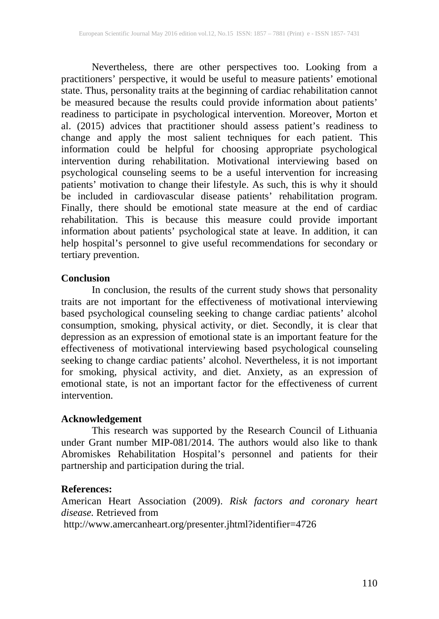Nevertheless, there are other perspectives too. Looking from a practitioners' perspective, it would be useful to measure patients' emotional state. Thus, personality traits at the beginning of cardiac rehabilitation cannot be measured because the results could provide information about patients' readiness to participate in psychological intervention. Moreover, Morton et al. (2015) advices that practitioner should assess patient's readiness to change and apply the most salient techniques for each patient. This information could be helpful for choosing appropriate psychological intervention during rehabilitation. Motivational interviewing based on psychological counseling seems to be a useful intervention for increasing patients' motivation to change their lifestyle. As such, this is why it should be included in cardiovascular disease patients' rehabilitation program. Finally, there should be emotional state measure at the end of cardiac rehabilitation. This is because this measure could provide important information about patients' psychological state at leave. In addition, it can help hospital's personnel to give useful recommendations for secondary or tertiary prevention.

#### **Conclusion**

In conclusion, the results of the current study shows that personality traits are not important for the effectiveness of motivational interviewing based psychological counseling seeking to change cardiac patients' alcohol consumption, smoking, physical activity, or diet. Secondly, it is clear that depression as an expression of emotional state is an important feature for the effectiveness of motivational interviewing based psychological counseling seeking to change cardiac patients' alcohol. Nevertheless, it is not important for smoking, physical activity, and diet. Anxiety, as an expression of emotional state, is not an important factor for the effectiveness of current intervention.

### **Acknowledgement**

This research was supported by the Research Council of Lithuania under Grant number MIP-081/2014. The authors would also like to thank Abromiskes Rehabilitation Hospital's personnel and patients for their partnership and participation during the trial.

### **References:**

American Heart Association (2009). *Risk factors and coronary heart disease.* Retrieved from

http://www.amercanheart.org/presenter.jhtml?identifier=4726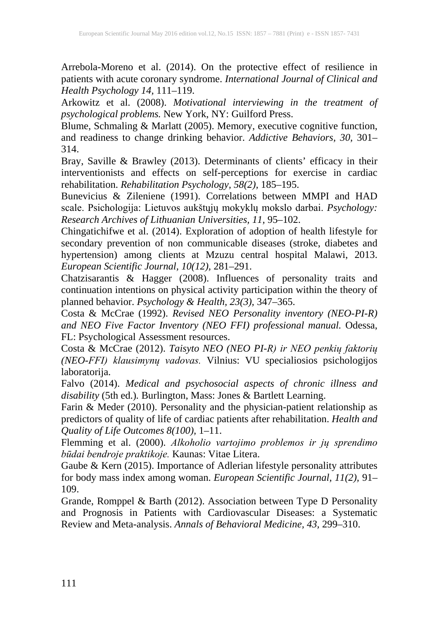Arrebola-Moreno et al. (2014). On the protective effect of resilience in patients with acute coronary syndrome. *International Journal of Clinical and Health Psychology 14,* 111–119.

Arkowitz et al. (2008). *Motivational interviewing in the treatment of psychological problems.* New York, NY: Guilford Press.

Blume, Schmaling & Marlatt (2005). Memory, executive cognitive function, and readiness to change drinking behavior. *Addictive Behaviors, 30,* 301– 314.

Bray, Saville & Brawley (2013). Determinants of clients' efficacy in their interventionists and effects on self-perceptions for exercise in cardiac rehabilitation. *Rehabilitation Psychology, 58(2),* 185–195.

Bunevicius & Zileniene (1991). Correlations between MMPI and HAD scale. Psichologija: Lietuvos aukštųjų mokyklų mokslo darbai. *Psychology: Research Archives of Lithuanian Universities, 11,* 95–102.

Chingatichifwe et al. (2014). Exploration of adoption of health lifestyle for secondary prevention of non communicable diseases (stroke, diabetes and hypertension) among clients at Mzuzu central hospital Malawi, 2013. *European Scientific Journal, 10(12),* 281–291.

Chatzisarantis & Hagger (2008). Influences of personality traits and continuation intentions on physical activity participation within the theory of planned behavior. *Psychology & Health, 23(3),* 347–365.

Costa & McCrae (1992). *Revised NEO Personality inventory (NEO-PI-R) and NEO Five Factor Inventory (NEO FFI) professional manual.* Odessa, FL: Psychological Assessment resources.

Costa & McCrae (2012). *Taisyto NEO (NEO PI-R) ir NEO penkių faktorių (NEO-FFI) klausimynų vadovas.* Vilnius: VU specialiosios psichologijos laboratorija.

Falvo (2014). *Medical and psychosocial aspects of chronic illness and disability* (5th ed.)*.* Burlington, Mass: Jones & Bartlett Learning.

Farin & Meder (2010). Personality and the physician-patient relationship as predictors of quality of life of cardiac patients after rehabilitation. *Health and Quality of Life Outcomes 8(100),* 1–11.

Flemming et al. (2000). *Alkoholio vartojimo problemos ir jų sprendimo būdai bendroje praktikoje.* Kaunas: Vitae Litera.

Gaube & Kern (2015). Importance of Adlerian lifestyle personality attributes for body mass index among woman. *European Scientific Journal, 11(2),* 91– 109.

Grande, Romppel & Barth (2012). Association between Type D Personality and Prognosis in Patients with Cardiovascular Diseases: a Systematic Review and Meta-analysis. *Annals of Behavioral Medicine, 43,* 299–310.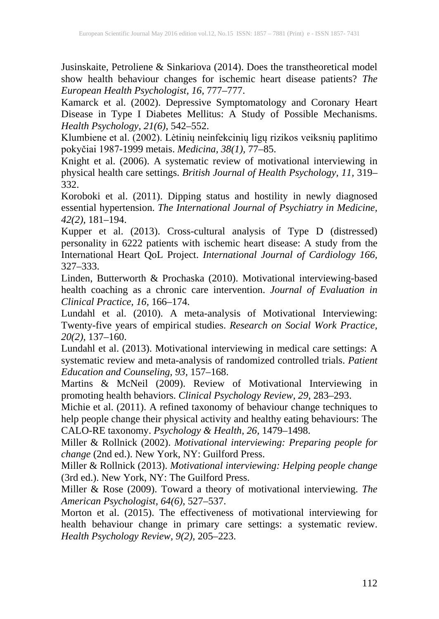Jusinskaite, Petroliene & Sinkariova (2014). Does the transtheoretical model show health behaviour changes for ischemic heart disease patients? *The European Health Psychologist, 16,* 777–777.

Kamarck et al. (2002). Depressive Symptomatology and Coronary Heart Disease in Type I Diabetes Mellitus: A Study of Possible Mechanisms. *Health Psychology, 21(6),* 542–552.

Klumbiene et al. (2002). Lėtinių neinfekcinių ligų rizikos veiksnių paplitimo pokyčiai 1987-1999 metais. *Medicina, 38(1),* 77–85.

Knight et al. (2006). A systematic review of motivational interviewing in physical health care settings. *British Journal of Health Psychology, 11,* 319– 332.

Koroboki et al. (2011). Dipping status and hostility in newly diagnosed essential hypertension. *The International Journal of Psychiatry in Medicine, 42(2),* 181–194.

Kupper et al. (2013). Cross-cultural analysis of Type D (distressed) personality in 6222 patients with ischemic heart disease: A study from the International Heart QoL Project. *International Journal of Cardiology 166,* 327–333.

Linden, Butterworth & Prochaska (2010). Motivational interviewing-based health coaching as a chronic care intervention. *Journal of Evaluation in Clinical Practice, 16,* 166–174.

Lundahl et al. (2010). A meta-analysis of Motivational Interviewing: Twenty-five years of empirical studies. *Research on Social Work Practice, 20(2),* 137–160.

Lundahl et al. (2013). Motivational interviewing in medical care settings: A systematic review and meta-analysis of randomized controlled trials. *Patient Education and Counseling, 93,* 157–168.

Martins & McNeil (2009). Review of Motivational Interviewing in promoting health behaviors. *Clinical Psychology Review, 29,* 283–293.

Michie et al. (2011). A refined taxonomy of behaviour change techniques to help people change their physical activity and healthy eating behaviours: The CALO-RE taxonomy. *Psychology & Health, 26,* 1479–1498.

Miller & Rollnick (2002). *Motivational interviewing: Preparing people for change* (2nd ed.). New York, NY: Guilford Press.

Miller & Rollnick (2013). *Motivational interviewing: Helping people change* (3rd ed.). New York, NY: The Guilford Press.

Miller & Rose (2009). Toward a theory of motivational interviewing. *The American Psychologist, 64(6),* 527–537.

Morton et al. (2015). The effectiveness of motivational interviewing for health behaviour change in primary care settings: a systematic review. *Health Psychology Review, 9(2),* 205–223.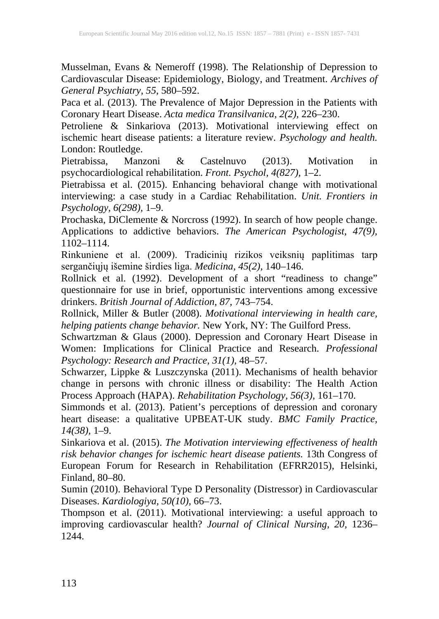Musselman, Evans & Nemeroff (1998). The Relationship of Depression to Cardiovascular Disease: Epidemiology, Biology, and Treatment. *Archives of General Psychiatry, 55,* 580–592.

Paca et al. (2013). The Prevalence of Major Depression in the Patients with Coronary Heart Disease. *Acta medica Transilvanica, 2(2),* 226–230.

Petroliene & Sinkariova (2013). Motivational interviewing effect on ischemic heart disease patients: a literature review. *Psychology and health.* London: Routledge.

Pietrabissa, Manzoni & Castelnuvo (2013). Motivation in psychocardiological rehabilitation. *Front. Psychol, 4(827),* 1–2.

Pietrabissa et al. (2015). Enhancing behavioral change with motivational interviewing: a case study in a Cardiac Rehabilitation. *Unit. Frontiers in Psychology, 6(298),* 1–9.

Prochaska, DiClemente & Norcross (1992). In search of how people change. Applications to addictive behaviors. *The American Psychologist, 47(9),* 1102–1114.

Rinkuniene et al. (2009). Tradicinių rizikos veiksnių paplitimas tarp sergančiųjų išemine širdies liga. *Medicina, 45(2),* 140–146.

Rollnick et al. (1992). Development of a short "readiness to change" questionnaire for use in brief, opportunistic interventions among excessive drinkers. *British Journal of Addiction, 87,* 743–754.

Rollnick, Miller & Butler (2008). *Motivational interviewing in health care, helping patients change behavior.* New York, NY: The Guilford Press.

Schwartzman & Glaus (2000). Depression and Coronary Heart Disease in Women: Implications for Clinical Practice and Research. *Professional Psychology: Research and Practice, 31(1),* 48–57.

Schwarzer, Lippke & Luszczynska (2011). Mechanisms of health behavior change in persons with chronic illness or disability: The Health Action Process Approach (HAPA). *Rehabilitation Psychology, 56(3),* 161–170.

Simmonds et al. (2013). Patient's perceptions of depression and coronary heart disease: a qualitative UPBEAT-UK study. *BMC Family Practice, 14(38),* 1–9.

Sinkariova et al. (2015). *The Motivation interviewing effectiveness of health risk behavior changes for ischemic heart disease patients.* 13th Congress of European Forum for Research in Rehabilitation (EFRR2015), Helsinki, Finland, 80–80.

Sumin (2010). Behavioral Type D Personality (Distressor) in Cardiovascular Diseases. *Kardiologiya, 50(10),* 66–73.

Thompson et al. (2011). Motivational interviewing: a useful approach to improving cardiovascular health? *Journal of Clinical Nursing, 20,* 1236– 1244.